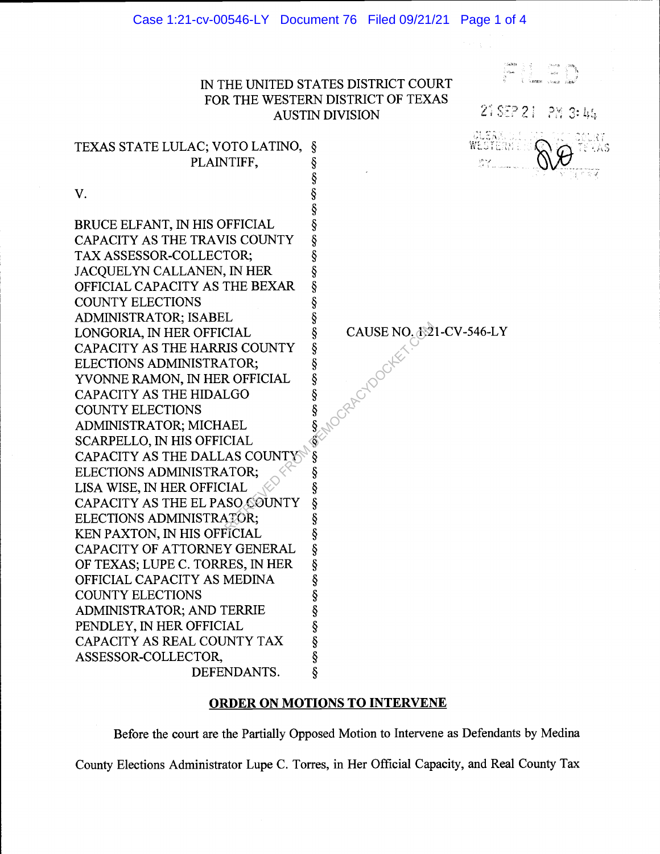## iN THE UNITED STATES DISTRICT COURT FOR THE WESTERN DISTRICT OF TEXAS AUSTIN DIVISION

1988 (f. 1988)<br>1940 (f. 1988)

21 SEP 21 PM 3:44 SYERNI

TEXAS STATE LULAC; VOTO LATINO, § PLAINTIFF, § § V. § BRUCE ELFANT, IN HIS OFFICIAL  $\S$ <br>CAPACITY AS THE TRAVIS COUNTY  $\S$ CAPACITY AS THE TRAVIS COUNTY  $\S$ <br>TAX ASSESSOR-COLLECTOR; TAX ASSESSOR-COLLECTOR;<br>JACQUELYN CALLANEN, IN HER §<br>OFFICIAL CAPACITY AS THE BEXAR § JACQUELYN CALLANEN, IN HER OFFICIAL CAPACITY AS THE BEXAR  $\S$ <br>COUNTY ELECTIONS  $\S$ COUNTY ELECTIONS § ADMINISTRATOR; ISABEL LONGORIA, IN HER OFFICIAL  $\S$ <br>CAPACITY AS THE HARRIS COUNTY  $\S$ CAPACITY AS THE HARRIS COUNTY §<br>ELECTIONS ADMINISTRATOR; § ELECTIONS ADMINISTRATOR;<br>
YVONNE RAMON, IN HER OFFICIAL §<br>
CAPACITY AS THE HIDALGO §<br>
COUNTY ELECTIONS §<br>
ADMINISTRATOR; MICHAEL § YVONNE RAMON, IN HER OFFICIAL CAPACITY AS THE HIDALGO COUNTY ELECTIONS ADMINISTRATOR; MICHAEL SCARPELLO, IN HIS OFFICIAL CAPACITY AS THE DALLAS COUNTY §<br>ELECTIONS ADMINISTRATOR; ELECTIONS ADMINISTRATOR; LISA WISE, IN HER OFFICIAL  $\frac{1}{3}$ <br>CAPACITY AS THE EL PASO SOUNTY  $\frac{1}{3}$ CAPACITY AS THE EL PASO COUNTY  $\S$ ELECTIONS ADMINISTRATOR; ELECTIONS ADMINISTRATOR;<br>KEN PAXTON, IN HIS OFFICIAL § KEN PAXTON, IN HIS OFFICIAL  $\S$ <br>CAPACITY OF ATTORNEY GENERAL  $\S$ CAPACITY OF ATTORNEY GENERAL §<br>OF TEXAS; LUPE C. TORRES, IN HER § OF TEXAS; LUPE C. TORRES, IN HER §<br>OFFICIAL CAPACITY AS MEDINA § OFFICIAL CAPACITY AS MEDINA  $$\S$$ <br>COUNTY ELECTIONS  $$\S$$ <br>ADMINISTRATOR; AND TERRIE  $$\S$$ <br>PENDLEY, IN HER OFFICIAL  $$\S$$ <br>CAPACITY AS REAL COUNTY TAX  $$\S$$ <br>ASSESSOR-COLLECTOR,  $$\S$$ COUNTY ELECTIONS ADMINISTRATOR; AND TERRIE PENDLEY, IN HER OFFICIAL CAPACITY AS REAL COUNTY TAX ASSESSOR-COLLECTOR, §<br>§ DEFENDANTS. § DEFENDANTS. MOCRACYDOCKEE

CAUSE NO. 1:21 -CV-546-LY

## ORDER ON MOTIONS TO INTERVENE

Before the court are the Partially Opposed Motion to Intervene as Defendants by Medina County Elections Administrator Lupe C. Torres, in Her Official Capacity, and Real County Tax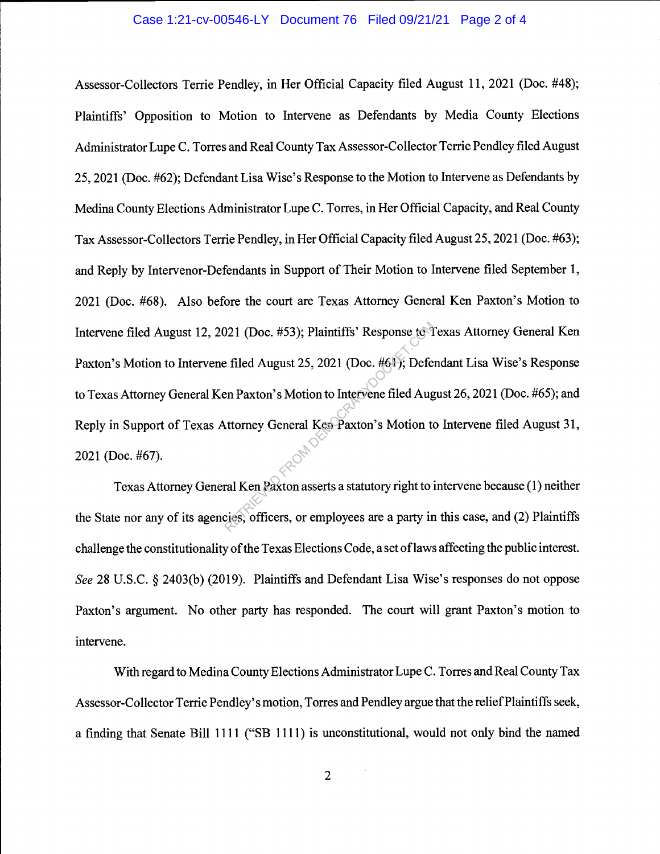## Case 1:21-cv-00546-LY Document 76 Filed 09/21/21 Page 2 of 4

Assessor-Collectors Terrie Pendley, in Her Official Capacity filed August 11, 2021 (Doc. #48); Plaintiffs' Opposition to Motion to Intervene as Defendants by Media County Elections Administrator Lupe C. Torres and Real County Tax Assessor-Collector Terrie Pendley filed August 25, 2021 (Doc. #62); Defendant Lisa Wise's Response to the Motion to Intervene as Defendants by Medina County Elections Administrator Lupe C. Torres, in Her Official Capacity, and Real County Tax Assessor-Collectors Terrie Pendley, in Her Official Capacity filed August25, 2021 (Doc. #63); and Reply by Intervenor-Defendants in Support of Their Motion to Intervene filed September 1, 2021 (Doc. #68). Also before the court are Texas Attorney General Ken Paxton's Motion to Intervene filed August 12, 2021 (Doc. #53); Plaintiffs' Response to Texas Attorney General Ken Paxton's Motion to Intervene filed August 25, 2021 (Doc. #6.); Defendant Lisa Wise's Response to Texas Attorney General Ken Paxton's Motion to Intervene filed August 26, 2021 (Doc. #65); and Reply in Support of Texas Attorney General Ken Paxton's Motion to Intervene filed August 31, 2021 (Doe. #67). 121 (Doc. #53); Plaintiffs' Response to T<br>
E filed August 25, 2021 (Doc. #64); Defer<br>
En Paxton's Motion to Intervene filed August<br>
ttorney General Ken Paxton's Motion to<br>
ral Ken Paxton asserts a statutory right to i<br>
rej

Texas Attorney General Ken Paxton asserts a statutory right to intervene because (1) neither the State nor any of its agencies, officers, or employees are a party in this case, and (2) Plaintiffs challenge the constitutionality of the Texas Elections Code, a set of laws affecting the public interest. See 28 U.S.C. § 2403(b) (2019). Plaintiffs and Defendant Lisa Wise's responses do not oppose Paxton's argument. No other party has responded. The court will grant Paxton's motion to intervene.

With regard to Medina County Elections Administrator Lupe C. Torres and Real County Tax Assessor-Collector Terrie Pendley's motion, Torres and Pendley argue that the relief Plaintiffs seek, a finding that Senate Bill 1111 ("SB 1111) is unconstitutional, would not only bind the named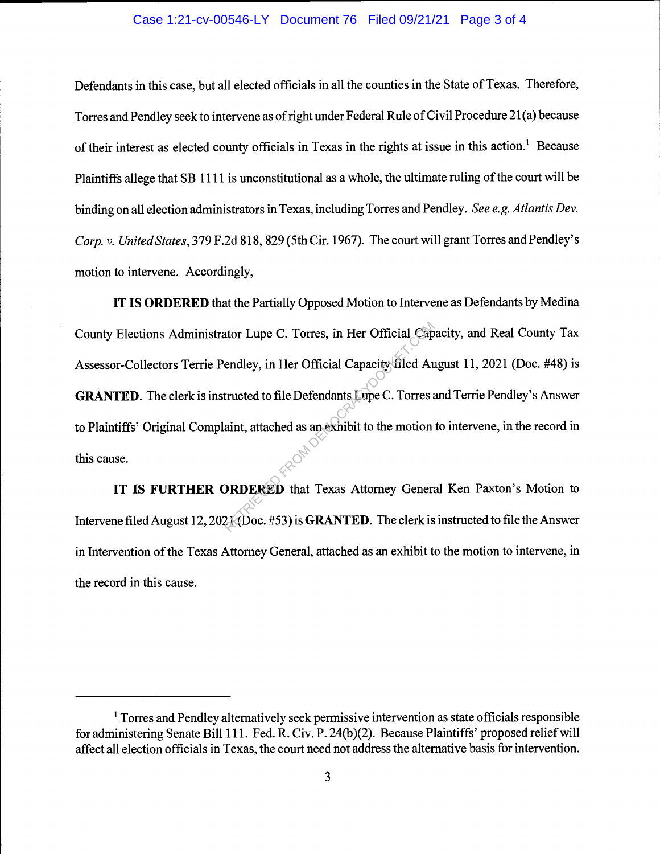## Case 1:21-cv-00546-LY Document 76 Filed 09/21/21 Page 3 of 4

Defendants in this case, but all elected officials in all the counties in the State of Texas. Therefore, Torres and Pendley seek to intervene as of right under Federal Rule of Civil Procedure 21(a) because of their interest as elected county officials in Texas in the rights at issue in this action.<sup>1</sup> Because Plaintiffs allege that SB 1111 is unconstitutional as a whole, the ultimate ruling of the court will be binding on all election administrators in Texas, including Torres and Pendley. See e.g. Atlantis Dev. Corp. v. United States, 379 F.2d 818, 829 (5th Cir. 1967). The court will grant Torres and Pendley's motion to intervene. Accordingly,

IT IS ORDERED that the Partially Opposed Motion to Intervene as Defendants by Medina County Elections Administrator Lupe C. Torres, in Her Official Capacity, and Real County Tax Assessor-Collectors Terrie Pendley, in Her Official Capacity filed August 11, 2021 (Doc. #48) is GRANTED. The clerk is instructed to file Defendants Lupe C. Torres and Terrie Pendley's Answer to Plaintiffs' Original Complaint, attached as an exhibit to the motion to intervene, in the record in this cause. Reprendley, in Her Official Capacity filed Audre<br>
endley, in Her Official Capacity filed Audre<br>
tructed to file Defendants Lupe C. Torres<br>
aint, attached as an exhibit to the motion<br> **EXECUTE:**<br> **EXECUTE:** The Constant Cap

IT IS FURTHER ORDERED that Texas Attorney General Ken Paxton's Motion to Intervene filed August 12, 2021 (Doc. #53) is GRANTED. The clerk is instructed to file the Answer in Intervention of the Texas Attorney General, attached as an exhibit to the motion to intervene, in the record in this cause.

 $1$  Torres and Pendley alternatively seek permissive intervention as state officials responsible for administering Senate Bill 111. Fed. R. Civ. P. 24(b)(2). Because Plaintiffs' proposed relief will affect all election officials in Texas, the court need not address the alternative basis for intervention.